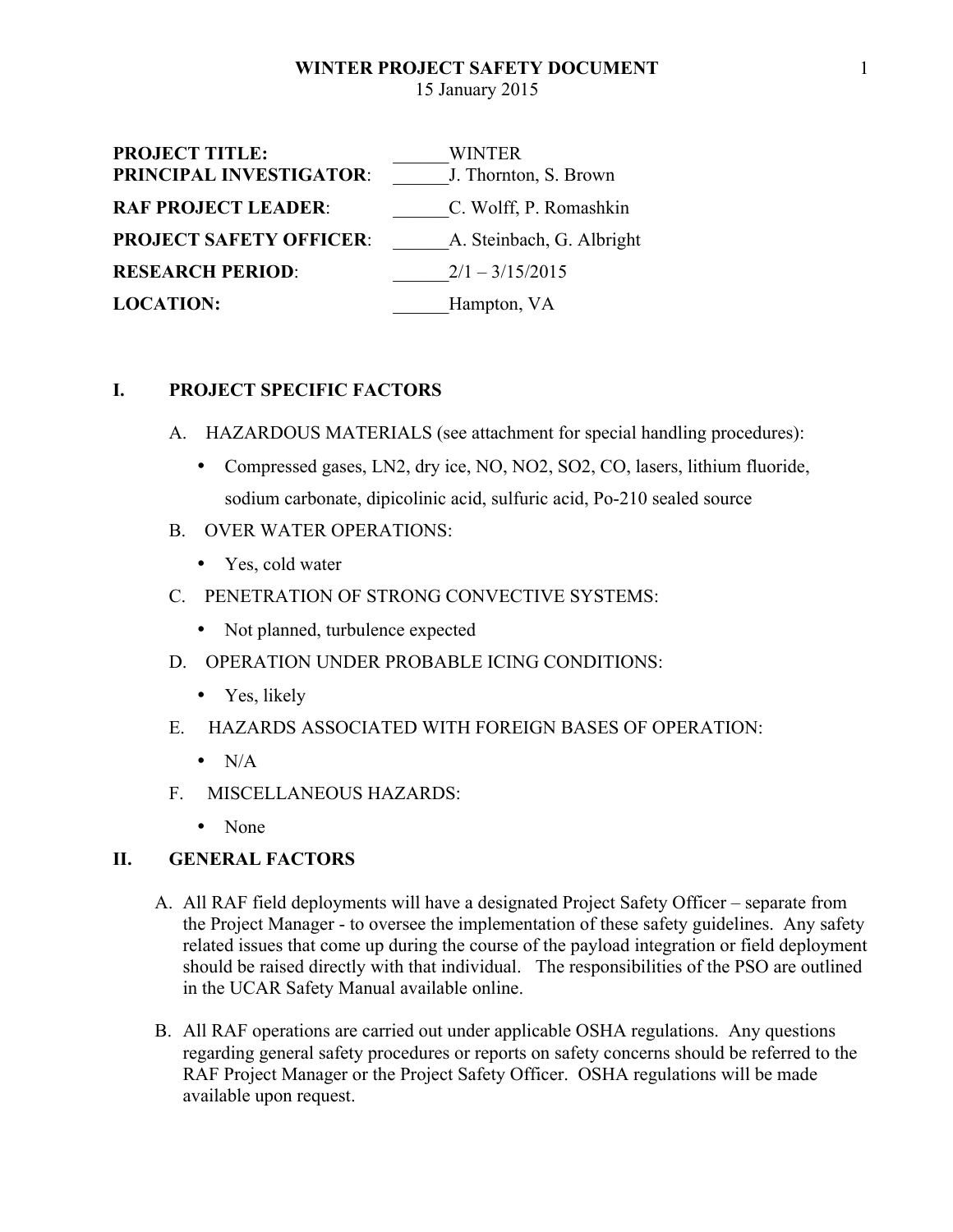| <b>PROJECT TITLE:</b>          | WINTER                    |
|--------------------------------|---------------------------|
| PRINCIPAL INVESTIGATOR:        | J. Thornton, S. Brown     |
| <b>RAF PROJECT LEADER:</b>     | C. Wolff, P. Romashkin    |
| <b>PROJECT SAFETY OFFICER:</b> | A. Steinbach, G. Albright |
| <b>RESEARCH PERIOD:</b>        | $2/1 - 3/15/2015$         |
| <b>LOCATION:</b>               | Hampton, VA               |

## **I. PROJECT SPECIFIC FACTORS**

- A. HAZARDOUS MATERIALS (see attachment for special handling procedures):
	- Compressed gases, LN2, dry ice, NO, NO2, SO2, CO, lasers, lithium fluoride, sodium carbonate, dipicolinic acid, sulfuric acid, Po-210 sealed source
- B. OVER WATER OPERATIONS:
	- Yes, cold water
- C. PENETRATION OF STRONG CONVECTIVE SYSTEMS:
	- Not planned, turbulence expected
- D. OPERATION UNDER PROBABLE ICING CONDITIONS:
	- Yes, likely
- E. HAZARDS ASSOCIATED WITH FOREIGN BASES OF OPERATION:
	- $\bullet$  N/A
- F. MISCELLANEOUS HAZARDS:
	- None

### **II. GENERAL FACTORS**

- A. All RAF field deployments will have a designated Project Safety Officer separate from the Project Manager - to oversee the implementation of these safety guidelines. Any safety related issues that come up during the course of the payload integration or field deployment should be raised directly with that individual. The responsibilities of the PSO are outlined in the UCAR Safety Manual available online.
- B. All RAF operations are carried out under applicable OSHA regulations. Any questions regarding general safety procedures or reports on safety concerns should be referred to the RAF Project Manager or the Project Safety Officer. OSHA regulations will be made available upon request.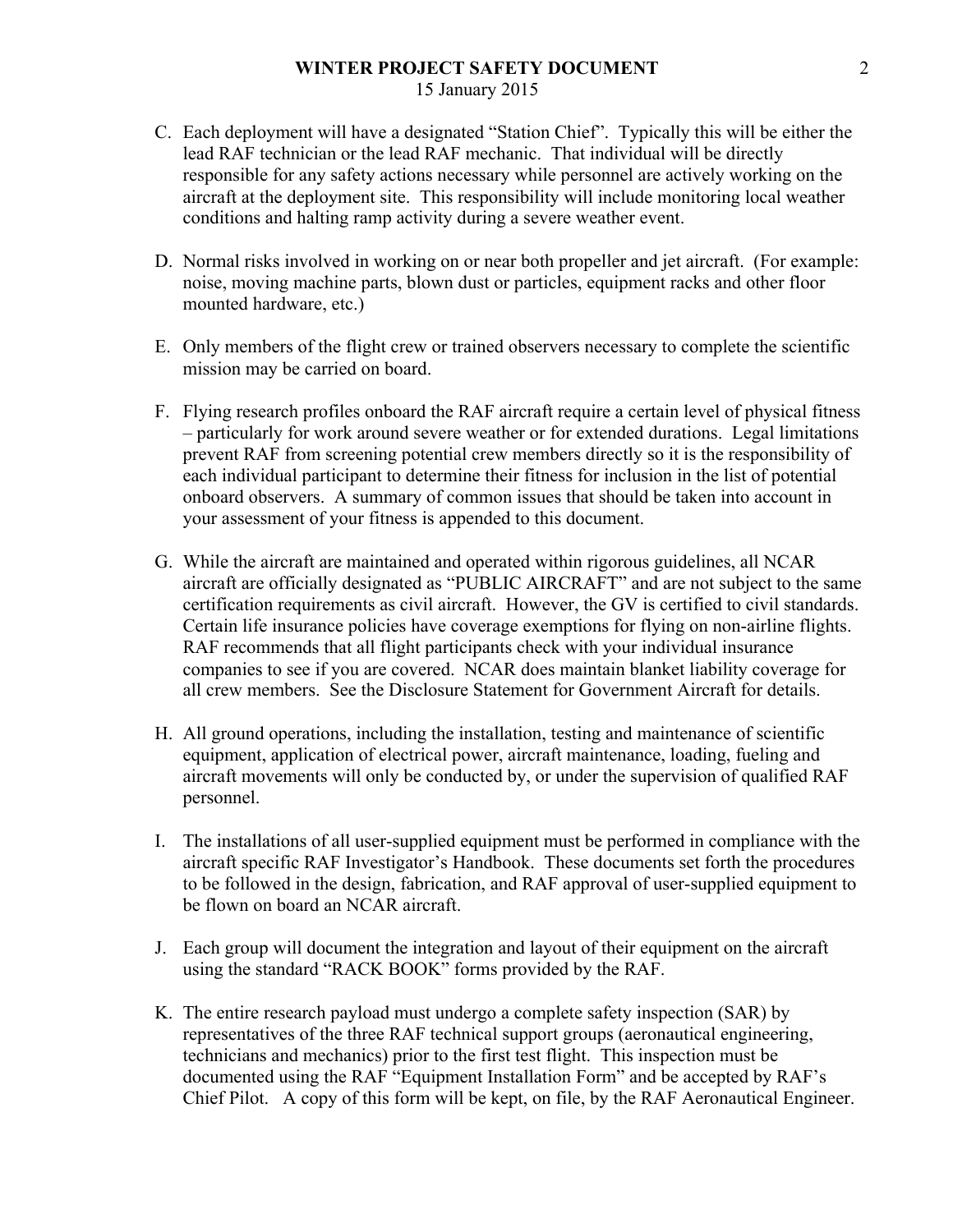- C. Each deployment will have a designated "Station Chief". Typically this will be either the lead RAF technician or the lead RAF mechanic. That individual will be directly responsible for any safety actions necessary while personnel are actively working on the aircraft at the deployment site. This responsibility will include monitoring local weather conditions and halting ramp activity during a severe weather event.
- D. Normal risks involved in working on or near both propeller and jet aircraft. (For example: noise, moving machine parts, blown dust or particles, equipment racks and other floor mounted hardware, etc.)
- E. Only members of the flight crew or trained observers necessary to complete the scientific mission may be carried on board.
- F. Flying research profiles onboard the RAF aircraft require a certain level of physical fitness – particularly for work around severe weather or for extended durations. Legal limitations prevent RAF from screening potential crew members directly so it is the responsibility of each individual participant to determine their fitness for inclusion in the list of potential onboard observers. A summary of common issues that should be taken into account in your assessment of your fitness is appended to this document.
- G. While the aircraft are maintained and operated within rigorous guidelines, all NCAR aircraft are officially designated as "PUBLIC AIRCRAFT" and are not subject to the same certification requirements as civil aircraft. However, the GV is certified to civil standards. Certain life insurance policies have coverage exemptions for flying on non-airline flights. RAF recommends that all flight participants check with your individual insurance companies to see if you are covered. NCAR does maintain blanket liability coverage for all crew members. See the Disclosure Statement for Government Aircraft for details.
- H. All ground operations, including the installation, testing and maintenance of scientific equipment, application of electrical power, aircraft maintenance, loading, fueling and aircraft movements will only be conducted by, or under the supervision of qualified RAF personnel.
- I. The installations of all user-supplied equipment must be performed in compliance with the aircraft specific RAF Investigator's Handbook. These documents set forth the procedures to be followed in the design, fabrication, and RAF approval of user-supplied equipment to be flown on board an NCAR aircraft.
- J. Each group will document the integration and layout of their equipment on the aircraft using the standard "RACK BOOK" forms provided by the RAF.
- K. The entire research payload must undergo a complete safety inspection (SAR) by representatives of the three RAF technical support groups (aeronautical engineering, technicians and mechanics) prior to the first test flight. This inspection must be documented using the RAF "Equipment Installation Form" and be accepted by RAF's Chief Pilot. A copy of this form will be kept, on file, by the RAF Aeronautical Engineer.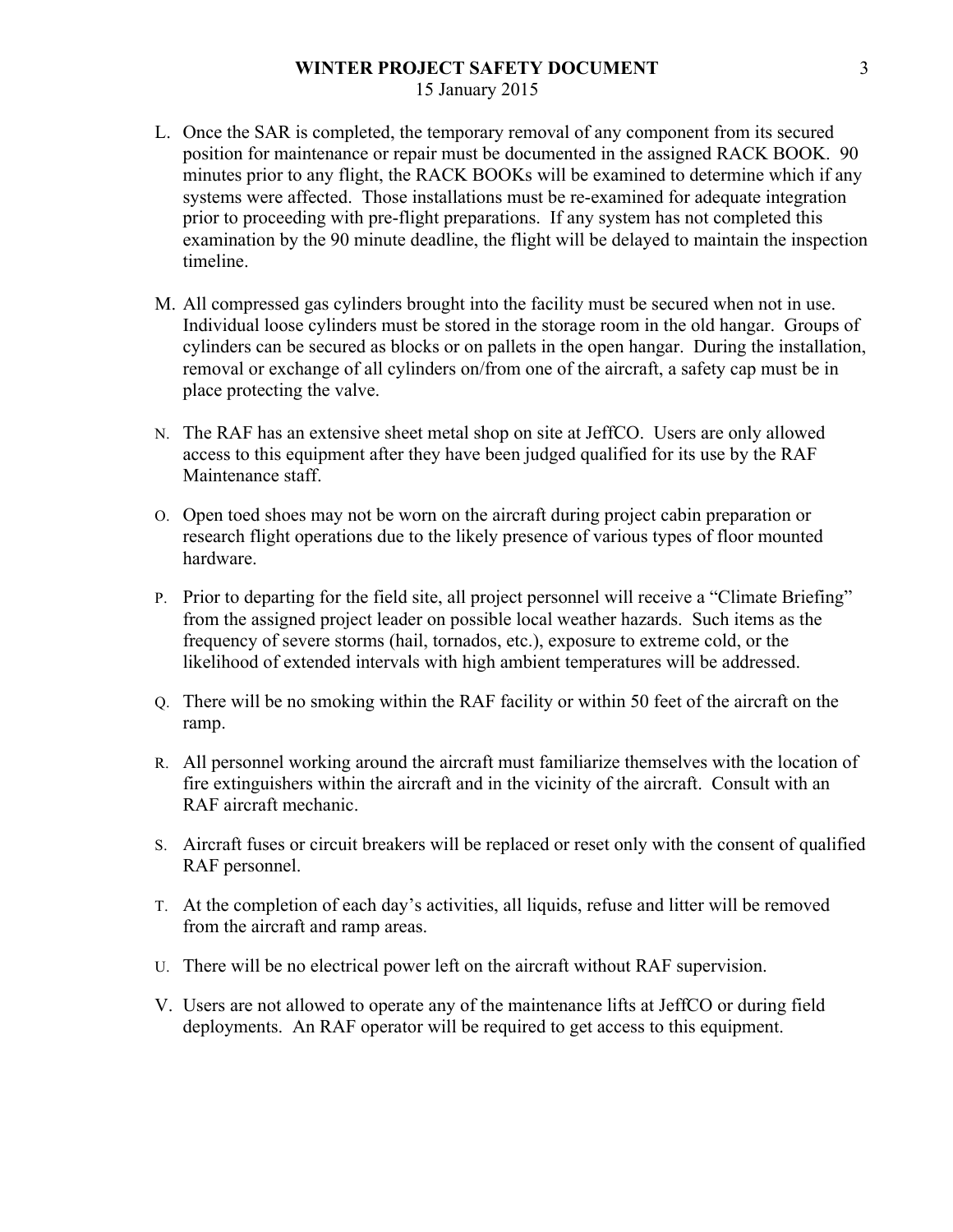- L. Once the SAR is completed, the temporary removal of any component from its secured position for maintenance or repair must be documented in the assigned RACK BOOK. 90 minutes prior to any flight, the RACK BOOKs will be examined to determine which if any systems were affected. Those installations must be re-examined for adequate integration prior to proceeding with pre-flight preparations. If any system has not completed this examination by the 90 minute deadline, the flight will be delayed to maintain the inspection timeline.
- M. All compressed gas cylinders brought into the facility must be secured when not in use. Individual loose cylinders must be stored in the storage room in the old hangar. Groups of cylinders can be secured as blocks or on pallets in the open hangar. During the installation, removal or exchange of all cylinders on/from one of the aircraft, a safety cap must be in place protecting the valve.
- N. The RAF has an extensive sheet metal shop on site at JeffCO. Users are only allowed access to this equipment after they have been judged qualified for its use by the RAF Maintenance staff.
- O. Open toed shoes may not be worn on the aircraft during project cabin preparation or research flight operations due to the likely presence of various types of floor mounted hardware.
- P. Prior to departing for the field site, all project personnel will receive a "Climate Briefing" from the assigned project leader on possible local weather hazards. Such items as the frequency of severe storms (hail, tornados, etc.), exposure to extreme cold, or the likelihood of extended intervals with high ambient temperatures will be addressed.
- Q. There will be no smoking within the RAF facility or within 50 feet of the aircraft on the ramp.
- R. All personnel working around the aircraft must familiarize themselves with the location of fire extinguishers within the aircraft and in the vicinity of the aircraft. Consult with an RAF aircraft mechanic.
- S. Aircraft fuses or circuit breakers will be replaced or reset only with the consent of qualified RAF personnel.
- T. At the completion of each day's activities, all liquids, refuse and litter will be removed from the aircraft and ramp areas.
- U. There will be no electrical power left on the aircraft without RAF supervision.
- V. Users are not allowed to operate any of the maintenance lifts at JeffCO or during field deployments. An RAF operator will be required to get access to this equipment.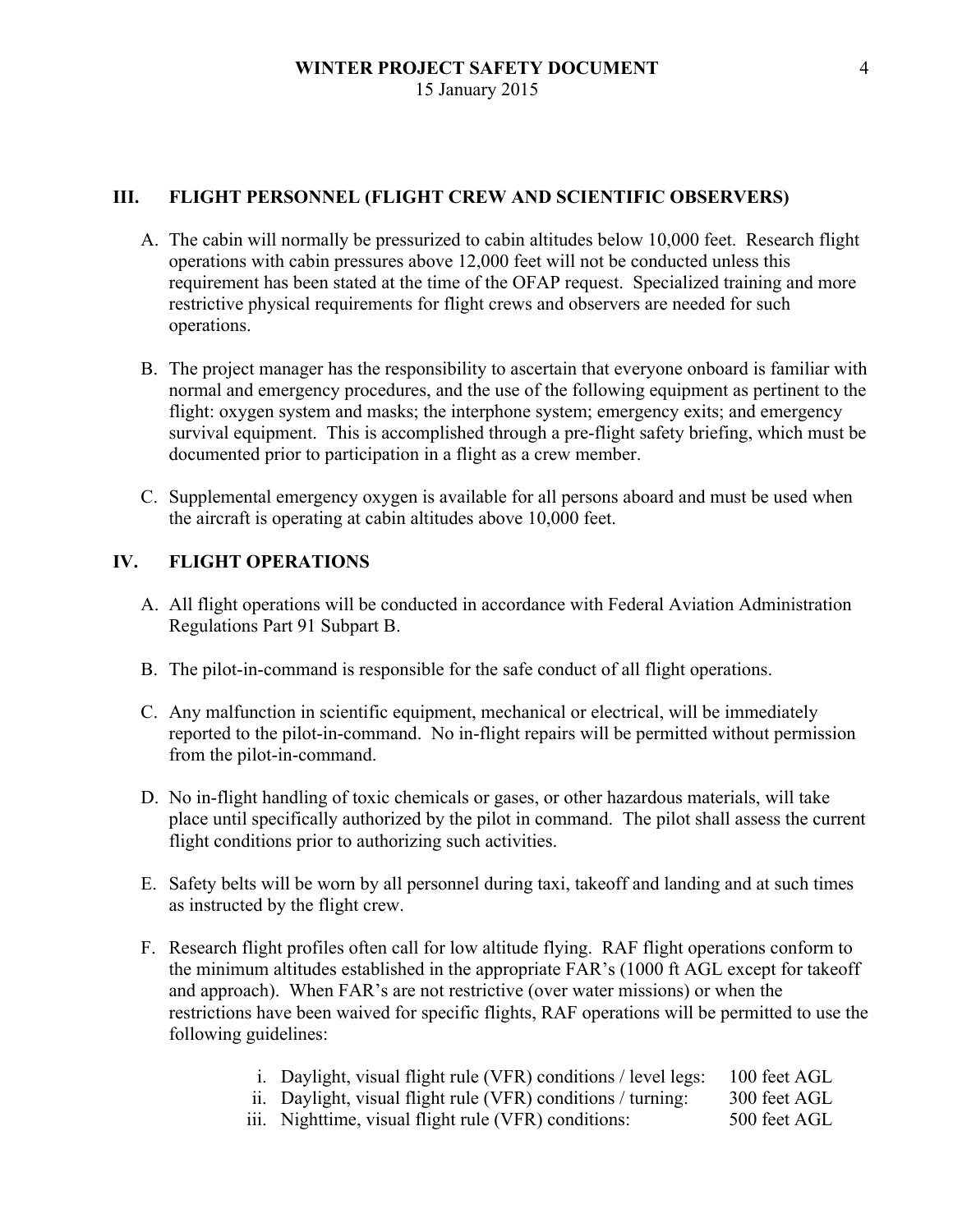### **III. FLIGHT PERSONNEL (FLIGHT CREW AND SCIENTIFIC OBSERVERS)**

- A. The cabin will normally be pressurized to cabin altitudes below 10,000 feet. Research flight operations with cabin pressures above 12,000 feet will not be conducted unless this requirement has been stated at the time of the OFAP request. Specialized training and more restrictive physical requirements for flight crews and observers are needed for such operations.
- B. The project manager has the responsibility to ascertain that everyone onboard is familiar with normal and emergency procedures, and the use of the following equipment as pertinent to the flight: oxygen system and masks; the interphone system; emergency exits; and emergency survival equipment. This is accomplished through a pre-flight safety briefing, which must be documented prior to participation in a flight as a crew member.
- C. Supplemental emergency oxygen is available for all persons aboard and must be used when the aircraft is operating at cabin altitudes above 10,000 feet.

## **IV. FLIGHT OPERATIONS**

- A. All flight operations will be conducted in accordance with Federal Aviation Administration Regulations Part 91 Subpart B.
- B. The pilot-in-command is responsible for the safe conduct of all flight operations.
- C. Any malfunction in scientific equipment, mechanical or electrical, will be immediately reported to the pilot-in-command. No in-flight repairs will be permitted without permission from the pilot-in-command.
- D. No in-flight handling of toxic chemicals or gases, or other hazardous materials, will take place until specifically authorized by the pilot in command. The pilot shall assess the current flight conditions prior to authorizing such activities.
- E. Safety belts will be worn by all personnel during taxi, takeoff and landing and at such times as instructed by the flight crew.
- F. Research flight profiles often call for low altitude flying. RAF flight operations conform to the minimum altitudes established in the appropriate FAR's (1000 ft AGL except for takeoff and approach). When FAR's are not restrictive (over water missions) or when the restrictions have been waived for specific flights, RAF operations will be permitted to use the following guidelines:
	- i. Daylight, visual flight rule (VFR) conditions / level legs: 100 feet AGL
	- ii. Daylight, visual flight rule (VFR) conditions / turning: 300 feet AGL
	- iii. Nighttime, visual flight rule (VFR) conditions: 500 feet AGL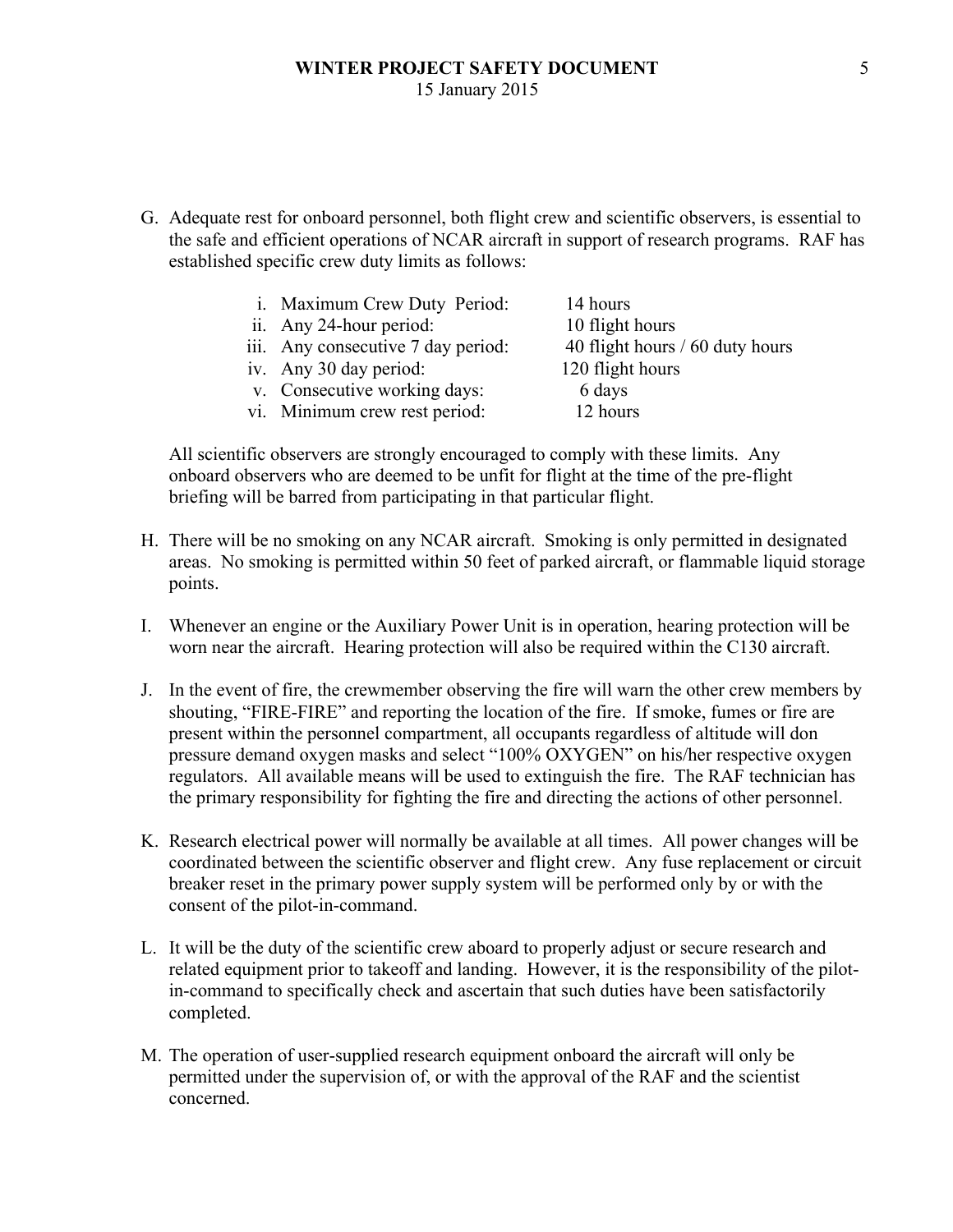G. Adequate rest for onboard personnel, both flight crew and scientific observers, is essential to the safe and efficient operations of NCAR aircraft in support of research programs. RAF has established specific crew duty limits as follows:

| i. Maximum Crew Duty Period:       | 14 hours                        |
|------------------------------------|---------------------------------|
| ii. Any 24-hour period:            | 10 flight hours                 |
| iii. Any consecutive 7 day period: | 40 flight hours / 60 duty hours |
| iv. Any 30 day period:             | 120 flight hours                |
| v. Consecutive working days:       | 6 days                          |
| vi. Minimum crew rest period:      | 12 hours                        |

All scientific observers are strongly encouraged to comply with these limits. Any onboard observers who are deemed to be unfit for flight at the time of the pre-flight briefing will be barred from participating in that particular flight.

- H. There will be no smoking on any NCAR aircraft. Smoking is only permitted in designated areas. No smoking is permitted within 50 feet of parked aircraft, or flammable liquid storage points.
- I. Whenever an engine or the Auxiliary Power Unit is in operation, hearing protection will be worn near the aircraft. Hearing protection will also be required within the C130 aircraft.
- J. In the event of fire, the crewmember observing the fire will warn the other crew members by shouting, "FIRE-FIRE" and reporting the location of the fire. If smoke, fumes or fire are present within the personnel compartment, all occupants regardless of altitude will don pressure demand oxygen masks and select "100% OXYGEN" on his/her respective oxygen regulators. All available means will be used to extinguish the fire. The RAF technician has the primary responsibility for fighting the fire and directing the actions of other personnel.
- K. Research electrical power will normally be available at all times. All power changes will be coordinated between the scientific observer and flight crew. Any fuse replacement or circuit breaker reset in the primary power supply system will be performed only by or with the consent of the pilot-in-command.
- L. It will be the duty of the scientific crew aboard to properly adjust or secure research and related equipment prior to takeoff and landing. However, it is the responsibility of the pilotin-command to specifically check and ascertain that such duties have been satisfactorily completed.
- M. The operation of user-supplied research equipment onboard the aircraft will only be permitted under the supervision of, or with the approval of the RAF and the scientist concerned.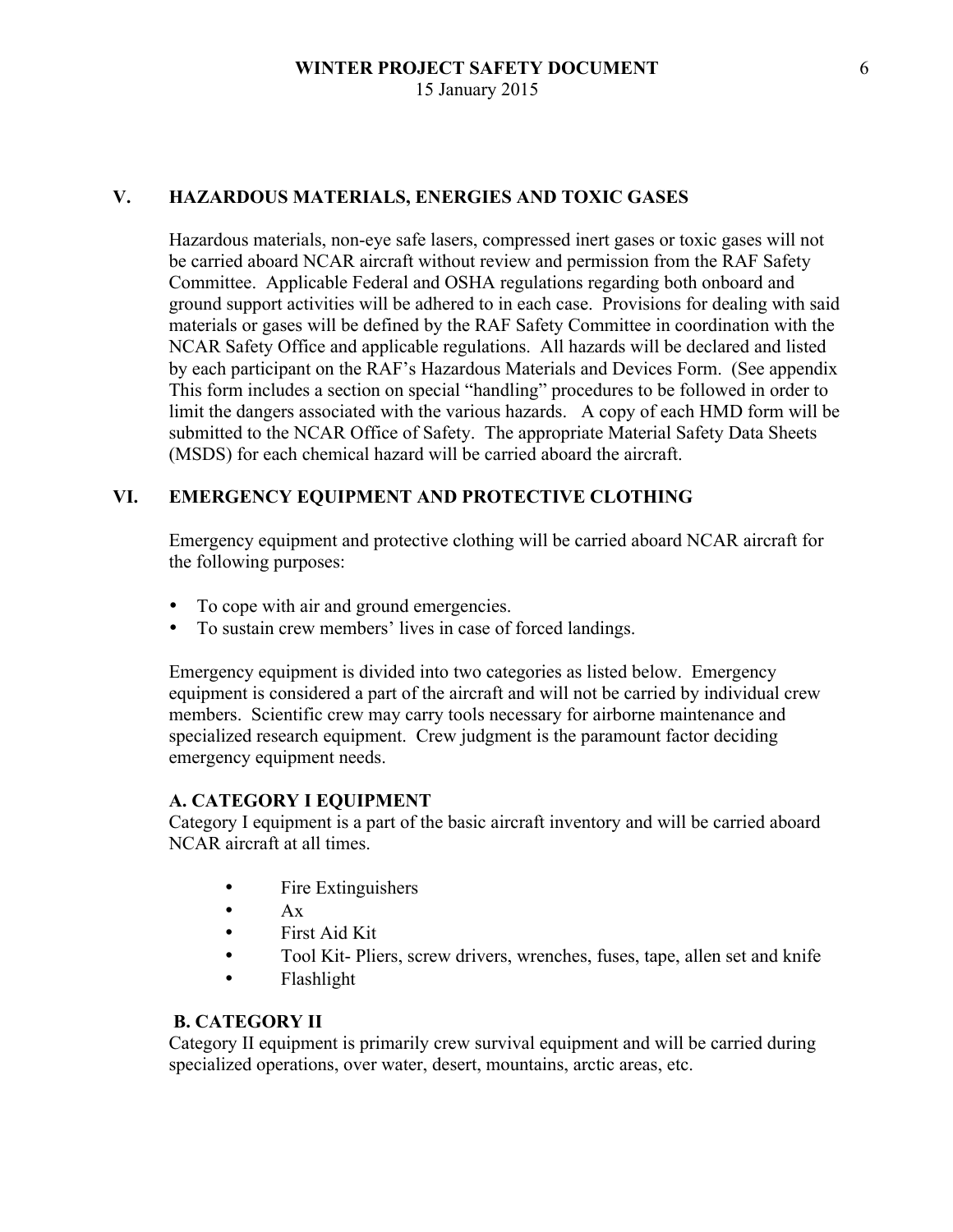### **V. HAZARDOUS MATERIALS, ENERGIES AND TOXIC GASES**

Hazardous materials, non-eye safe lasers, compressed inert gases or toxic gases will not be carried aboard NCAR aircraft without review and permission from the RAF Safety Committee. Applicable Federal and OSHA regulations regarding both onboard and ground support activities will be adhered to in each case. Provisions for dealing with said materials or gases will be defined by the RAF Safety Committee in coordination with the NCAR Safety Office and applicable regulations. All hazards will be declared and listed by each participant on the RAF's Hazardous Materials and Devices Form. (See appendix This form includes a section on special "handling" procedures to be followed in order to limit the dangers associated with the various hazards. A copy of each HMD form will be submitted to the NCAR Office of Safety. The appropriate Material Safety Data Sheets (MSDS) for each chemical hazard will be carried aboard the aircraft.

#### **VI. EMERGENCY EQUIPMENT AND PROTECTIVE CLOTHING**

Emergency equipment and protective clothing will be carried aboard NCAR aircraft for the following purposes:

- To cope with air and ground emergencies.
- To sustain crew members' lives in case of forced landings.

Emergency equipment is divided into two categories as listed below. Emergency equipment is considered a part of the aircraft and will not be carried by individual crew members. Scientific crew may carry tools necessary for airborne maintenance and specialized research equipment. Crew judgment is the paramount factor deciding emergency equipment needs.

#### **A. CATEGORY I EQUIPMENT**

Category I equipment is a part of the basic aircraft inventory and will be carried aboard NCAR aircraft at all times.

- Fire Extinguishers
- $\bullet$   $A_X$
- First Aid Kit
- Tool Kit- Pliers, screw drivers, wrenches, fuses, tape, allen set and knife
- Flashlight

#### **B. CATEGORY II**

Category II equipment is primarily crew survival equipment and will be carried during specialized operations, over water, desert, mountains, arctic areas, etc.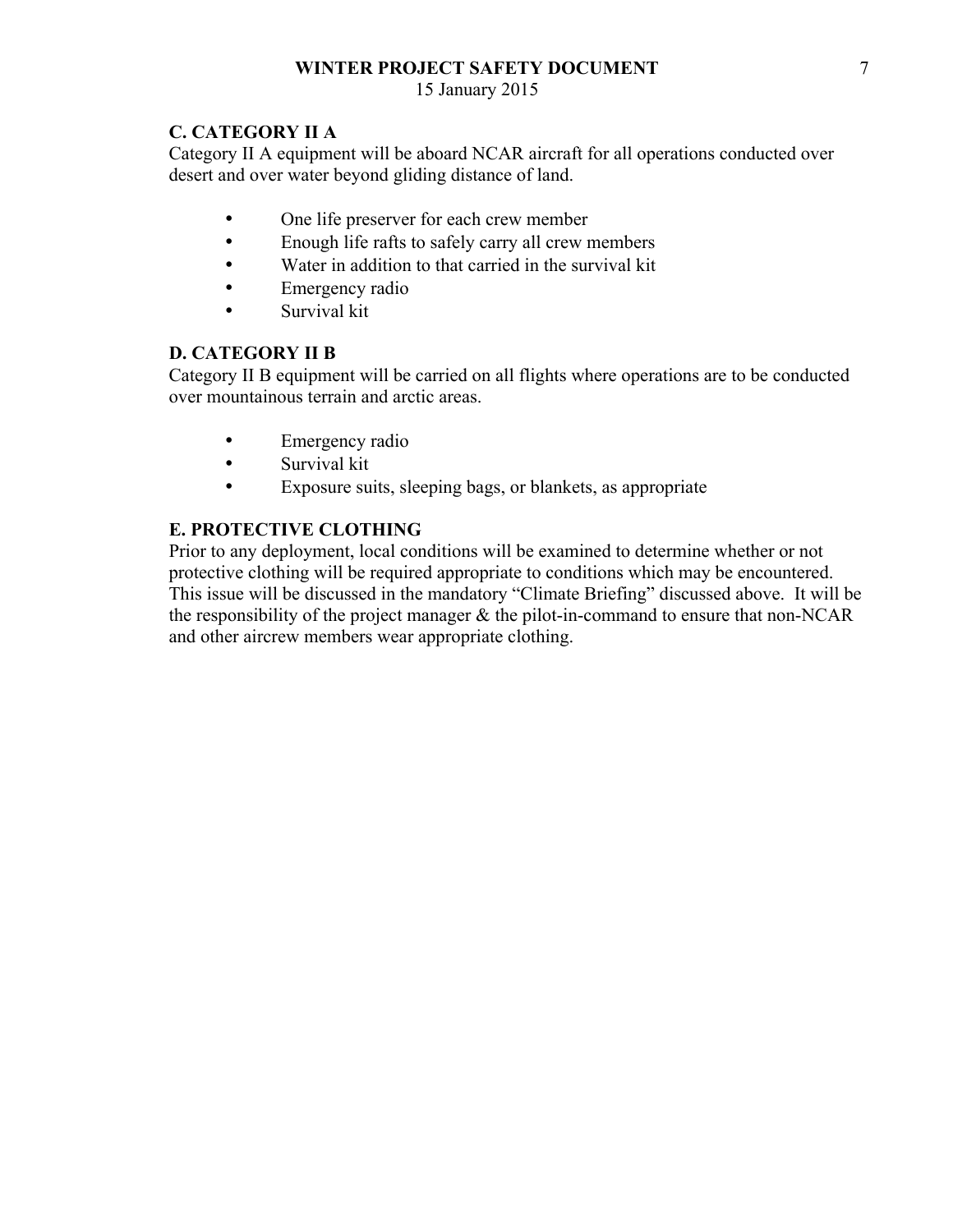## **WINTER PROJECT SAFETY DOCUMENT**

15 January 2015

## **C. CATEGORY II A**

Category II A equipment will be aboard NCAR aircraft for all operations conducted over desert and over water beyond gliding distance of land.

- One life preserver for each crew member
- Enough life rafts to safely carry all crew members
- Water in addition to that carried in the survival kit
- Emergency radio
- Survival kit

## **D. CATEGORY II B**

Category II B equipment will be carried on all flights where operations are to be conducted over mountainous terrain and arctic areas.

- Emergency radio
- Survival kit
- Exposure suits, sleeping bags, or blankets, as appropriate

## **E. PROTECTIVE CLOTHING**

Prior to any deployment, local conditions will be examined to determine whether or not protective clothing will be required appropriate to conditions which may be encountered. This issue will be discussed in the mandatory "Climate Briefing" discussed above. It will be the responsibility of the project manager  $\&$  the pilot-in-command to ensure that non-NCAR and other aircrew members wear appropriate clothing.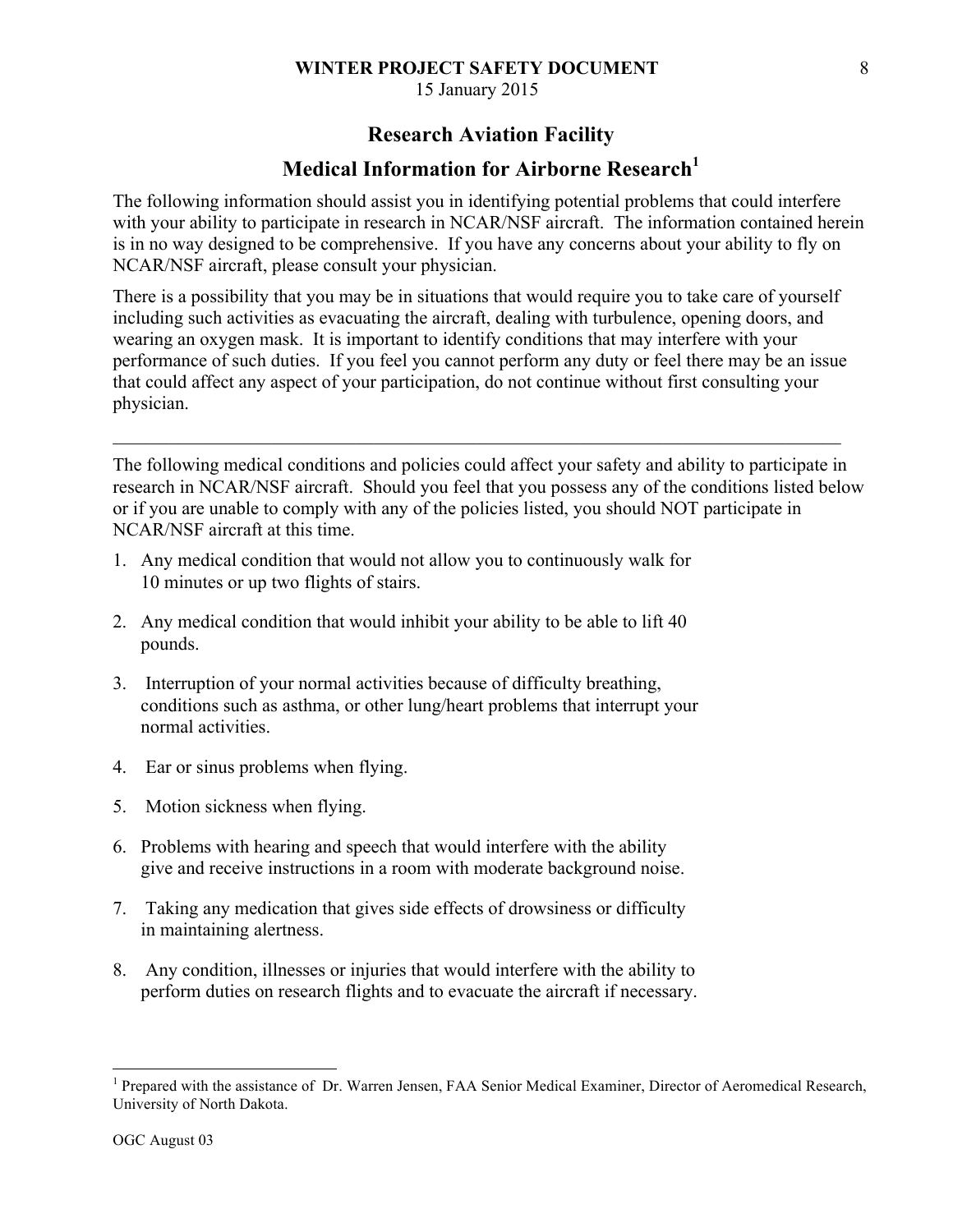## **WINTER PROJECT SAFETY DOCUMENT**

15 January 2015

# **Research Aviation Facility**

# **Medical Information for Airborne Research**<sup>1</sup>

The following information should assist you in identifying potential problems that could interfere with your ability to participate in research in NCAR/NSF aircraft. The information contained herein is in no way designed to be comprehensive. If you have any concerns about your ability to fly on NCAR/NSF aircraft, please consult your physician.

There is a possibility that you may be in situations that would require you to take care of yourself including such activities as evacuating the aircraft, dealing with turbulence, opening doors, and wearing an oxygen mask. It is important to identify conditions that may interfere with your performance of such duties. If you feel you cannot perform any duty or feel there may be an issue that could affect any aspect of your participation, do not continue without first consulting your physician.

 $\mathcal{L}_\mathcal{L} = \{ \mathcal{L}_\mathcal{L} = \{ \mathcal{L}_\mathcal{L} = \{ \mathcal{L}_\mathcal{L} = \{ \mathcal{L}_\mathcal{L} = \{ \mathcal{L}_\mathcal{L} = \{ \mathcal{L}_\mathcal{L} = \{ \mathcal{L}_\mathcal{L} = \{ \mathcal{L}_\mathcal{L} = \{ \mathcal{L}_\mathcal{L} = \{ \mathcal{L}_\mathcal{L} = \{ \mathcal{L}_\mathcal{L} = \{ \mathcal{L}_\mathcal{L} = \{ \mathcal{L}_\mathcal{L} = \{ \mathcal{L}_\mathcal{$ 

The following medical conditions and policies could affect your safety and ability to participate in research in NCAR/NSF aircraft. Should you feel that you possess any of the conditions listed below or if you are unable to comply with any of the policies listed, you should NOT participate in NCAR/NSF aircraft at this time.

- 1. Any medical condition that would not allow you to continuously walk for 10 minutes or up two flights of stairs.
- 2. Any medical condition that would inhibit your ability to be able to lift 40 pounds.
- 3. Interruption of your normal activities because of difficulty breathing, conditions such as asthma, or other lung/heart problems that interrupt your normal activities.
- 4. Ear or sinus problems when flying.
- 5. Motion sickness when flying.
- 6. Problems with hearing and speech that would interfere with the ability give and receive instructions in a room with moderate background noise.
- 7. Taking any medication that gives side effects of drowsiness or difficulty in maintaining alertness.
- 8. Any condition, illnesses or injuries that would interfere with the ability to perform duties on research flights and to evacuate the aircraft if necessary.

<sup>&</sup>lt;sup>1</sup> Prepared with the assistance of Dr. Warren Jensen, FAA Senior Medical Examiner, Director of Aeromedical Research, University of North Dakota.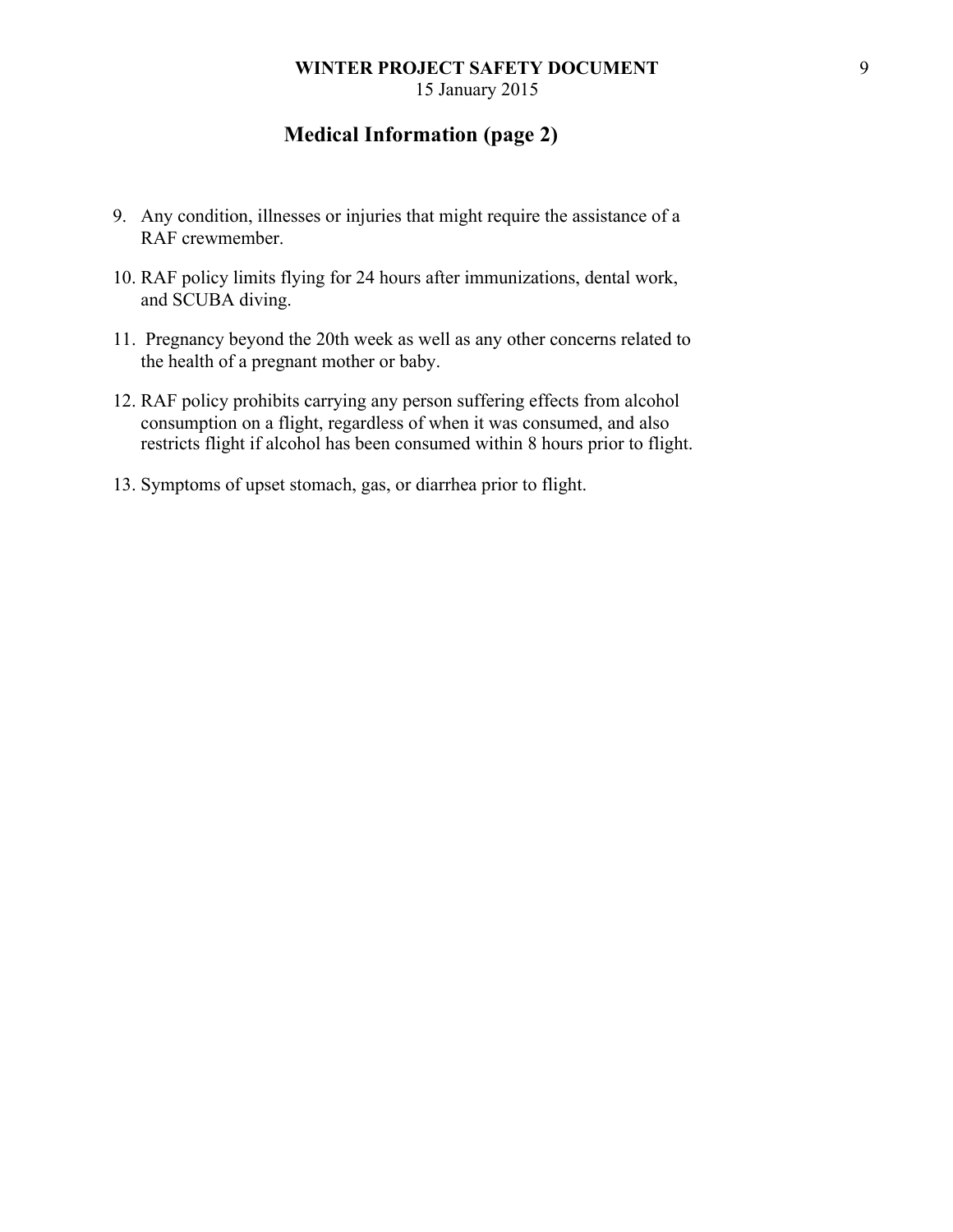# **Medical Information (page 2)**

- 9. Any condition, illnesses or injuries that might require the assistance of a RAF crewmember.
- 10. RAF policy limits flying for 24 hours after immunizations, dental work, and SCUBA diving.
- 11. Pregnancy beyond the 20th week as well as any other concerns related to the health of a pregnant mother or baby.
- 12. RAF policy prohibits carrying any person suffering effects from alcohol consumption on a flight, regardless of when it was consumed, and also restricts flight if alcohol has been consumed within 8 hours prior to flight.
- 13. Symptoms of upset stomach, gas, or diarrhea prior to flight.